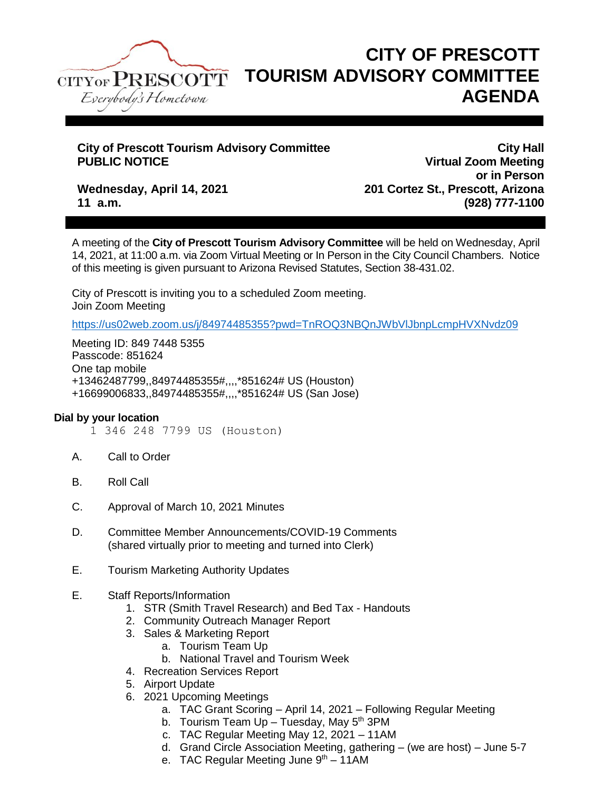

## **CITY OF PRESCOTT TOURISM ADVISORY COMMITTEE AGENDA**

# **City of Prescott Tourism Advisory Committee City of Prescott Tourism Advisory Committee City Hall**<br>PUBLIC NOTICE COMMENTS

**Virtual Zoom Meeting or in Person Wednesday, April 14, 2021 201 Cortez St., Prescott, Arizona 11 a.m. (928) 777-1100**

A meeting of the **City of Prescott Tourism Advisory Committee** will be held on Wednesday, April 14, 2021, at 11:00 a.m. via Zoom Virtual Meeting or In Person in the City Council Chambers. Notice of this meeting is given pursuant to Arizona Revised Statutes, Section 38-431.02.

City of Prescott is inviting you to a scheduled Zoom meeting. Join Zoom Meeting

<https://us02web.zoom.us/j/84974485355?pwd=TnROQ3NBQnJWbVlJbnpLcmpHVXNvdz09>

Meeting ID: 849 7448 5355 Passcode: 851624 One tap mobile +13462487799,,84974485355#,,,,\*851624# US (Houston) +16699006833,,84974485355#,,,,\*851624# US (San Jose)

### **Dial by your location**

- 1 346 248 7799 US (Houston)
- A. Call to Order
- B. Roll Call
- C. Approval of March 10, 2021 Minutes
- D. Committee Member Announcements/COVID-19 Comments (shared virtually prior to meeting and turned into Clerk)
- E. Tourism Marketing Authority Updates
- E. Staff Reports/Information
	- 1. STR (Smith Travel Research) and Bed Tax Handouts
	- 2. Community Outreach Manager Report
	- 3. Sales & Marketing Report
		- a. Tourism Team Up
		- b. National Travel and Tourism Week
	- 4. Recreation Services Report
	- 5. Airport Update
	- 6. 2021 Upcoming Meetings
		- a. TAC Grant Scoring April 14, 2021 Following Regular Meeting
		- b. Tourism Team  $Up Tu$ esday, May  $5<sup>th</sup>$  3PM
		- c. TAC Regular Meeting May 12, 2021 11AM
		- d. Grand Circle Association Meeting, gathering (we are host) June 5-7
		- e. TAC Regular Meeting June  $9<sup>th</sup> 11$ AM